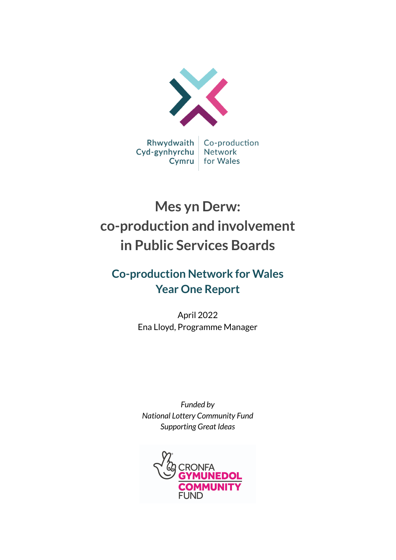

# **Mes yn Derw: co-production and involvement in Public Services Boards**

## **Co-production Network for Wales Year One Report**

April 2022 Ena Lloyd, Programme Manager

*Funded by National Lottery Community Fund Supporting Great Ideas*

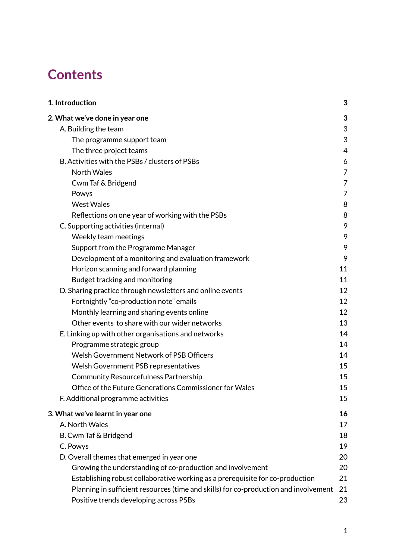# **Contents**

| 1. Introduction                                                                      | 3  |
|--------------------------------------------------------------------------------------|----|
| 2. What we've done in year one                                                       | 3  |
| A. Building the team                                                                 | 3  |
| The programme support team                                                           | 3  |
| The three project teams                                                              | 4  |
| B. Activities with the PSBs / clusters of PSBs                                       | 6  |
| <b>North Wales</b>                                                                   | 7  |
| Cwm Taf & Bridgend                                                                   | 7  |
| Powys                                                                                | 7  |
| <b>West Wales</b>                                                                    | 8  |
| Reflections on one year of working with the PSBs                                     | 8  |
| C. Supporting activities (internal)                                                  | 9  |
| Weekly team meetings                                                                 | 9  |
| Support from the Programme Manager                                                   | 9  |
| Development of a monitoring and evaluation framework                                 | 9  |
| Horizon scanning and forward planning                                                | 11 |
| Budget tracking and monitoring                                                       | 11 |
| D. Sharing practice through newsletters and online events                            | 12 |
| Fortnightly "co-production note" emails                                              | 12 |
| Monthly learning and sharing events online                                           | 12 |
| Other events to share with our wider networks                                        | 13 |
| E. Linking up with other organisations and networks                                  | 14 |
| Programme strategic group                                                            | 14 |
| Welsh Government Network of PSB Officers                                             | 14 |
| Welsh Government PSB representatives                                                 | 15 |
| <b>Community Resourcefulness Partnership</b>                                         | 15 |
| Office of the Future Generations Commissioner for Wales                              | 15 |
| F. Additional programme activities                                                   | 15 |
| 3. What we've learnt in year one                                                     | 16 |
| A. North Wales                                                                       | 17 |
| B. Cwm Taf & Bridgend                                                                | 18 |
| C. Powys                                                                             | 19 |
| D. Overall themes that emerged in year one                                           | 20 |
| Growing the understanding of co-production and involvement                           | 20 |
| Establishing robust collaborative working as a prerequisite for co-production        | 21 |
| Planning in sufficient resources (time and skills) for co-production and involvement | 21 |
| Positive trends developing across PSBs                                               | 23 |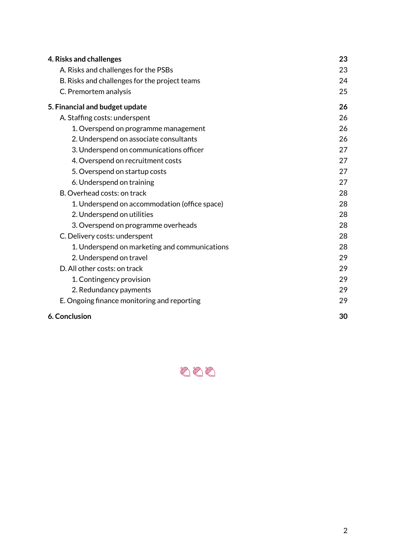| 4. Risks and challenges                       | 23 |
|-----------------------------------------------|----|
| A. Risks and challenges for the PSBs          | 23 |
| B. Risks and challenges for the project teams | 24 |
| C. Premortem analysis                         | 25 |
| 5. Financial and budget update                | 26 |
| A. Staffing costs: underspent                 | 26 |
| 1. Overspend on programme management          | 26 |
| 2. Underspend on associate consultants        | 26 |
| 3. Underspend on communications officer       | 27 |
| 4. Overspend on recruitment costs             | 27 |
| 5. Overspend on startup costs                 | 27 |
| 6. Underspend on training                     | 27 |
| B. Overhead costs: on track                   | 28 |
| 1. Underspend on accommodation (office space) | 28 |
| 2. Underspend on utilities                    | 28 |
| 3. Overspend on programme overheads           | 28 |
| C. Delivery costs: underspent                 | 28 |
| 1. Underspend on marketing and communications | 28 |
| 2. Underspend on travel                       | 29 |
| D. All other costs: on track                  | 29 |
| 1. Contingency provision                      | 29 |
| 2. Redundancy payments                        | 29 |
| E. Ongoing finance monitoring and reporting   | 29 |
| 6. Conclusion                                 | 30 |

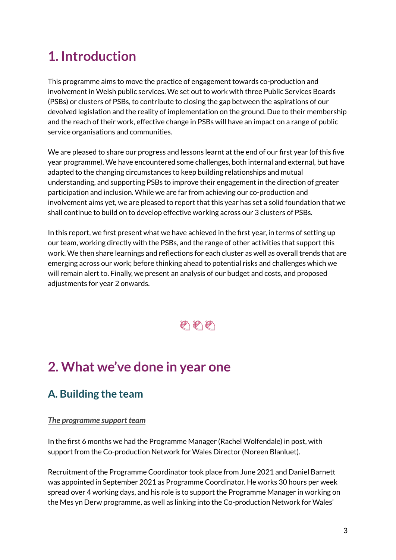# <span id="page-3-0"></span>**1. Introduction**

This programme aims to move the practice of engagement towards co-production and involvement in Welsh public services. We set out to work with three Public Services Boards (PSBs) or clusters of PSBs, to contribute to closing the gap between the aspirations of our devolved legislation and the reality of implementation on the ground. Due to their membership and the reach of their work, effective change in PSBs will have an impact on a range of public service organisations and communities.

We are pleased to share our progress and lessons learnt at the end of our first year (of this five year programme). We have encountered some challenges, both internal and external, but have adapted to the changing circumstances to keep building relationships and mutual understanding, and supporting PSBs to improve their engagement in the direction of greater participation and inclusion. While we are far from achieving our co-production and involvement aims yet, we are pleased to report that this year has set a solid foundation that we shall continue to build on to develop effective working across our 3 clusters of PSBs.

In this report, we first present what we have achieved in the first year, in terms of setting up our team, working directly with the PSBs, and the range of other activities that support this work. We then share learnings and reflections for each cluster as well as overall trends that are emerging across our work; before thinking ahead to potential risks and challenges which we will remain alert to. Finally, we present an analysis of our budget and costs, and proposed adjustments for year 2 onwards.



# <span id="page-3-1"></span>**2. What we've done in year one**

## <span id="page-3-2"></span>**A. Building the team**

#### <span id="page-3-3"></span>*The programme support team*

In the first 6 months we had the Programme Manager (Rachel Wolfendale) in post, with support from the Co-production Network for Wales Director (Noreen Blanluet).

Recruitment of the Programme Coordinator took place from June 2021 and Daniel Barnett was appointed in September 2021 as Programme Coordinator. He works 30 hours per week spread over 4 working days, and his role is to support the Programme Manager in working on the Mes yn Derw programme, as well as linking into the Co-production Network for Wales'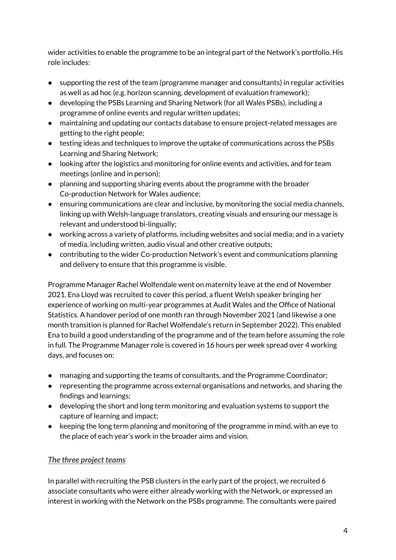wider activities to enable the programme to be an integral part of the Network's portfolio. His role includes:

- supporting the rest of the team (programme manager and consultants) in regular activities as well as ad hoc (e.g. horizon scanning, development of evaluation framework);
- developing the PSBs Learning and Sharing Network (for all Wales PSBs), including a programme of online events and regular written updates;
- maintaining and updating our contacts database to ensure project-related messages are getting to the right people;
- testing ideas and techniques to improve the uptake of communications across the PSBs Learning and Sharing Network;
- looking after the logistics and monitoring for online events and activities, and for team meetings (online and in person);
- planning and supporting sharing events about the programme with the broader Co-production Network for Wales audience;
- ensuring communications are clear and inclusive, by monitoring the social media channels, linking up with Welsh-language translators, creating visuals and ensuring our message is relevant and understood bi-lingually;
- working across a variety of platforms, including websites and social media; and in a variety of media, including written, audio visual and other creative outputs;
- contributing to the wider Co-production Network's event and communications planning and delivery to ensure that this programme is visible.

Programme Manager Rachel Wolfendale went on maternity leave at the end of November 2021. Ena Lloyd was recruited to cover this period, a fluent Welsh speaker bringing her experience of working on multi-year programmes at Audit Wales and the Office of National Statistics. A handover period of one month ran through November 2021 (and likewise a one month transition is planned for Rachel Wolfendale's return in September 2022). This enabled Ena to build a good understanding of the programme and of the team before assuming the role in full. The Programme Manager role is covered in 16 hours per week spread over 4 working days, and focuses on:

- managing and supporting the teams of consultants, and the Programme Coordinator;
- representing the programme across external organisations and networks, and sharing the findings and learnings;
- developing the short and long term monitoring and evaluation systems to support the capture of learning and impact;
- keeping the long term planning and monitoring of the programme in mind, with an eye to the place of each year's work in the broader aims and vision.

#### <span id="page-4-0"></span>*The three project teams*

In parallel with recruiting the PSB clusters in the early part of the project, we recruited 6 associate consultants who were either already working with the Network, or expressed an interest in working with the Network on the PSBs programme. The consultants were paired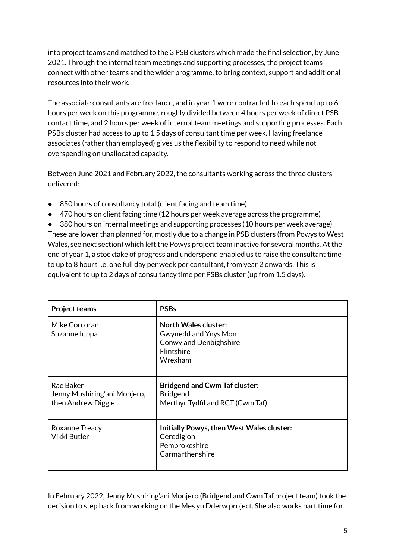into project teams and matched to the 3 PSB clusters which made the final selection, by June 2021. Through the internal team meetings and supporting processes, the project teams connect with other teams and the wider programme, to bring context, support and additional resources into their work.

The associate consultants are freelance, and in year 1 were contracted to each spend up to 6 hours per week on this programme, roughly divided between 4 hours per week of direct PSB contact time, and 2 hours per week of internal team meetings and supporting processes. Each PSBs cluster had access to up to 1.5 days of consultant time per week. Having freelance associates (rather than employed) gives us the flexibility to respond to need while not overspending on unallocated capacity.

Between June 2021 and February 2022, the consultants working across the three clusters delivered:

- 850 hours of consultancy total (client facing and team time)
- 470 hours on client facing time (12 hours per week average across the programme)

● 380 hours on internal meetings and supporting processes (10 hours per week average) These are lower than planned for, mostly due to a change in PSB clusters (from Powys to West Wales, see next section) which left the Powys project team inactive for several months. At the end of year 1, a stocktake of progress and underspend enabled us to raise the consultant time to up to 8 hours i.e. one full day per week per consultant, from year 2 onwards. This is equivalent to up to 2 days of consultancy time per PSBs cluster (up from 1.5 days).

| <b>Project teams</b>                                            | <b>PSBs</b>                                                                                                          |
|-----------------------------------------------------------------|----------------------------------------------------------------------------------------------------------------------|
| Mike Corcoran<br>Suzanne Iuppa                                  | <b>North Wales cluster:</b><br>Gwynedd and Ynys Mon<br><b>Conwy and Denbighshire</b><br><b>Flintshire</b><br>Wrexham |
| Rae Baker<br>Jenny Mushiring'ani Monjero,<br>then Andrew Diggle | <b>Bridgend and Cwm Taf cluster:</b><br><b>Bridgend</b><br>Merthyr Tydfil and RCT (Cwm Taf)                          |
| Roxanne Treacy<br>Vikki Butler                                  | Initially Powys, then West Wales cluster:<br>Ceredigion<br>Pembrokeshire<br>Carmarthenshire                          |

In February 2022, Jenny Mushiring'ani Monjero (Bridgend and Cwm Taf project team) took the decision to step back from working on the Mes yn Dderw project. She also works part time for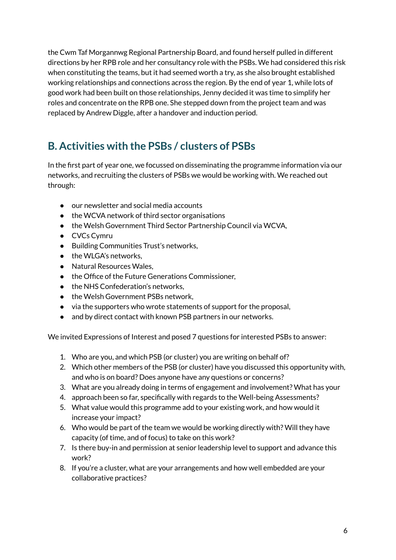the Cwm Taf Morgannwg Regional Partnership Board, and found herself pulled in different directions by her RPB role and her consultancy role with the PSBs. We had considered this risk when constituting the teams, but it had seemed worth a try, as she also brought established working relationships and connections across the region. By the end of year 1, while lots of good work had been built on those relationships, Jenny decided it was time to simplify her roles and concentrate on the RPB one. She stepped down from the project team and was replaced by Andrew Diggle, after a handover and induction period.

## <span id="page-6-0"></span>**B. Activities with the PSBs / clusters of PSBs**

In the first part of year one, we focussed on disseminating the programme information via our networks, and recruiting the clusters of PSBs we would be working with. We reached out through:

- our newsletter and social media accounts
- the WCVA network of third sector organisations
- the Welsh Government Third Sector Partnership Council via WCVA,
- CVCs Cymru
- Building Communities Trust's networks,
- the WLGA's networks.
- Natural Resources Wales,
- the Office of the Future Generations Commissioner,
- the NHS Confederation's networks,
- the Welsh Government PSBs network,
- via the supporters who wrote statements of support for the proposal,
- and by direct contact with known PSB partners in our networks.

We invited Expressions of Interest and posed 7 questions for interested PSBs to answer:

- 1. Who are you, and which PSB (or cluster) you are writing on behalf of?
- 2. Which other members of the PSB (or cluster) have you discussed this opportunity with, and who is on board? Does anyone have any questions or concerns?
- 3. What are you already doing in terms of engagement and involvement? What has your
- 4. approach been so far, specifically with regards to the Well-being Assessments?
- 5. What value would this programme add to your existing work, and how would it increase your impact?
- 6. Who would be part of the team we would be working directly with? Will they have capacity (of time, and of focus) to take on this work?
- 7. Is there buy-in and permission at senior leadership level to support and advance this work?
- 8. If you're a cluster, what are your arrangements and how well embedded are your collaborative practices?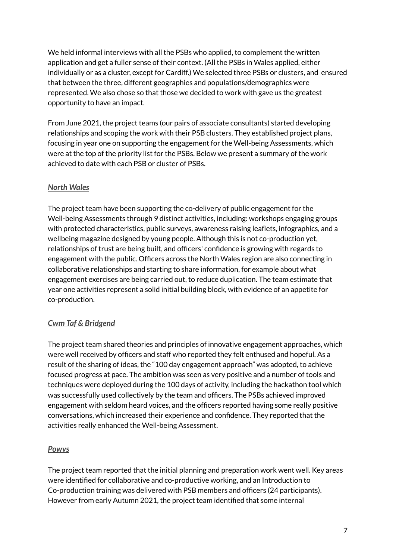We held informal interviews with all the PSBs who applied, to complement the written application and get a fuller sense of their context. (All the PSBs in Wales applied, either individually or as a cluster, except for Cardiff.) We selected three PSBs or clusters, and ensured that between the three, different geographies and populations/demographics were represented. We also chose so that those we decided to work with gave us the greatest opportunity to have an impact.

From June 2021, the project teams (our pairs of associate consultants) started developing relationships and scoping the work with their PSB clusters. They established project plans, focusing in year one on supporting the engagement for the Well-being Assessments, which were at the top of the priority list for the PSBs. Below we present a summary of the work achieved to date with each PSB or cluster of PSBs.

#### <span id="page-7-0"></span>*North Wales*

The project team have been supporting the co-delivery of public engagement for the Well-being Assessments through 9 distinct activities, including: workshops engaging groups with protected characteristics, public surveys, awareness raising leaflets, infographics, and a wellbeing magazine designed by young people. Although this is not co-production yet, relationships of trust are being built, and officers' confidence is growing with regards to engagement with the public. Officers across the North Wales region are also connecting in collaborative relationships and starting to share information, for example about what engagement exercises are being carried out, to reduce duplication. The team estimate that year one activities represent a solid initial building block, with evidence of an appetite for co-production.

#### <span id="page-7-1"></span>*Cwm Taf & Bridgend*

The project team shared theories and principles of innovative engagement approaches, which were well received by officers and staff who reported they felt enthused and hopeful. As a result of the sharing of ideas, the "100 day engagement approach" was adopted, to achieve focused progress at pace. The ambition was seen as very positive and a number of tools and techniques were deployed during the 100 days of activity, including the hackathon tool which was successfully used collectively by the team and officers. The PSBs achieved improved engagement with seldom heard voices, and the officers reported having some really positive conversations, which increased their experience and confidence. They reported that the activities really enhanced the Well-being Assessment.

#### <span id="page-7-2"></span>*Powys*

The project team reported that the initial planning and preparation work went well. Key areas were identified for collaborative and co-productive working, and an Introduction to Co-production training was delivered with PSB members and officers (24 participants). However from early Autumn 2021, the project team identified that some internal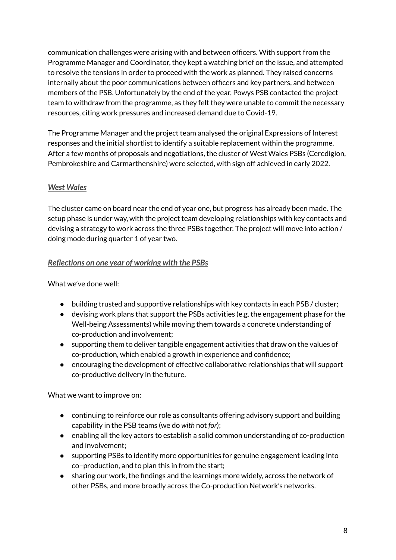communication challenges were arising with and between officers. With support from the Programme Manager and Coordinator, they kept a watching brief on the issue, and attempted to resolve the tensions in order to proceed with the work as planned. They raised concerns internally about the poor communications between officers and key partners, and between members of the PSB. Unfortunately by the end of the year, Powys PSB contacted the project team to withdraw from the programme, as they felt they were unable to commit the necessary resources, citing work pressures and increased demand due to Covid-19.

The Programme Manager and the project team analysed the original Expressions of Interest responses and the initial shortlist to identify a suitable replacement within the programme. After a few months of proposals and negotiations, the cluster of West Wales PSBs (Ceredigion, Pembrokeshire and Carmarthenshire) were selected, with sign off achieved in early 2022.

#### <span id="page-8-0"></span>*West Wales*

The cluster came on board near the end of year one, but progress has already been made. The setup phase is under way, with the project team developing relationships with key contacts and devising a strategy to work across the three PSBs together. The project will move into action / doing mode during quarter 1 of year two.

#### <span id="page-8-1"></span>*Reflections on one year of working with the PSBs*

What we've done well:

- building trusted and supportive relationships with key contacts in each PSB/cluster;
- devising work plans that support the PSBs activities (e.g. the engagement phase for the Well-being Assessments) while moving them towards a concrete understanding of co-production and involvement;
- supporting them to deliver tangible engagement activities that draw on the values of co-production, which enabled a growth in experience and confidence;
- encouraging the development of effective collaborative relationships that will support co-productive delivery in the future.

What we want to improve on:

- continuing to reinforce our role as consultants offering advisory support and building capability in the PSB teams (we do *with* not *for*);
- enabling all the key actors to establish a solid common understanding of co-production and involvement;
- supporting PSBs to identify more opportunities for genuine engagement leading into co–production, and to plan this in from the start;
- sharing our work, the findings and the learnings more widely, across the network of other PSBs, and more broadly across the Co-production Network's networks.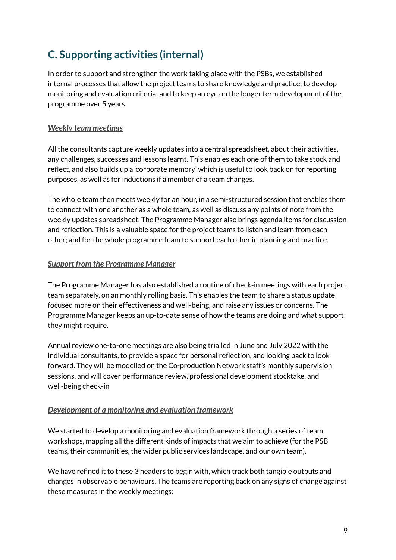## <span id="page-9-0"></span>**C. Supporting activities (internal)**

In order to support and strengthen the work taking place with the PSBs, we established internal processes that allow the project teams to share knowledge and practice; to develop monitoring and evaluation criteria; and to keep an eye on the longer term development of the programme over 5 years.

#### <span id="page-9-1"></span>*Weekly team meetings*

All the consultants capture weekly updates into a central spreadsheet, about their activities, any challenges, successes and lessons learnt. This enables each one of them to take stock and reflect, and also builds up a 'corporate memory' which is useful to look back on for reporting purposes, as well as for inductions if a member of a team changes.

The whole team then meets weekly for an hour, in a semi-structured session that enables them to connect with one another as a whole team, as well as discuss any points of note from the weekly updates spreadsheet. The Programme Manager also brings agenda items for discussion and reflection. This is a valuable space for the project teams to listen and learn from each other; and for the whole programme team to support each other in planning and practice.

#### <span id="page-9-2"></span>*Support from the Programme Manager*

The Programme Manager has also established a routine of check-in meetings with each project team separately, on an monthly rolling basis. This enables the team to share a status update focused more on their effectiveness and well-being, and raise any issues or concerns. The Programme Manager keeps an up-to-date sense of how the teams are doing and what support they might require.

Annual review one-to-one meetings are also being trialled in June and July 2022 with the individual consultants, to provide a space for personal reflection, and looking back to look forward. They will be modelled on the Co-production Network staff's monthly supervision sessions, and will cover performance review, professional development stocktake, and well-being check-in

#### <span id="page-9-3"></span>*Development of a monitoring and evaluation framework*

We started to develop a monitoring and evaluation framework through a series of team workshops, mapping all the different kinds of impacts that we aim to achieve (for the PSB teams, their communities, the wider public services landscape, and our own team).

We have refined it to these 3 headers to begin with, which track both tangible outputs and changes in observable behaviours. The teams are reporting back on any signs of change against these measures in the weekly meetings: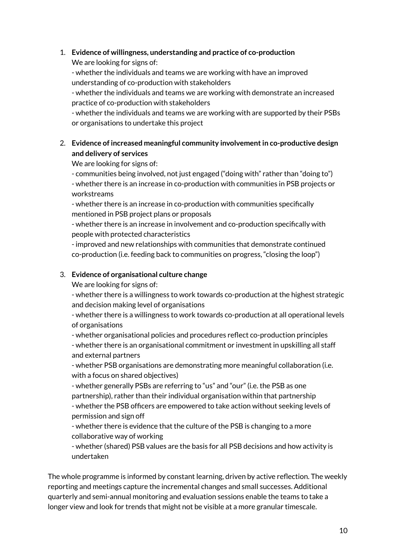#### 1. **Evidence of willingness, understanding and practice of co-production**

We are looking for signs of:

- whether the individuals and teams we are working with have an improved understanding of co-production with stakeholders

- whether the individuals and teams we are working with demonstrate an increased practice of co-production with stakeholders

- whether the individuals and teams we are working with are supported by their PSBs or organisations to undertake this project

#### 2. **Evidence of increased meaningful community involvementin co-productive design and delivery of services**

We are looking for signs of:

- communities being involved, not just engaged ("doing with" rather than "doing to") - whether there is an increase in co-production with communities in PSB projects or workstreams

- whether there is an increase in co-production with communities specifically mentioned in PSB project plans or proposals

- whether there is an increase in involvement and co-production specifically with people with protected characteristics

- improved and new relationships with communities that demonstrate continued co-production (i.e. feeding back to communities on progress, "closing the loop")

#### 3. **Evidence of organisational culture change**

We are looking for signs of:

- whether there is a willingness to work towards co-production at the highest strategic and decision making level of organisations

- whether there is a willingness to work towards co-production at all operational levels of organisations

- whether organisational policies and procedures reflect co-production principles - whether there is an organisational commitment or investment in upskilling all staff and external partners

- whether PSB organisations are demonstrating more meaningful collaboration (i.e. with a focus on shared objectives)

- whether generally PSBs are referring to "us" and "our" (i.e. the PSB as one partnership), rather than their individual organisation within that partnership - whether the PSB officers are empowered to take action without seeking levels of permission and sign off

- whether there is evidence that the culture of the PSB is changing to a more collaborative way of working

- whether (shared) PSB values are the basis for all PSB decisions and how activity is undertaken

The whole programme is informed by constant learning, driven by active reflection. The weekly reporting and meetings capture the incremental changes and small successes. Additional quarterly and semi-annual monitoring and evaluation sessions enable the teams to take a longer view and look for trends that might not be visible at a more granular timescale.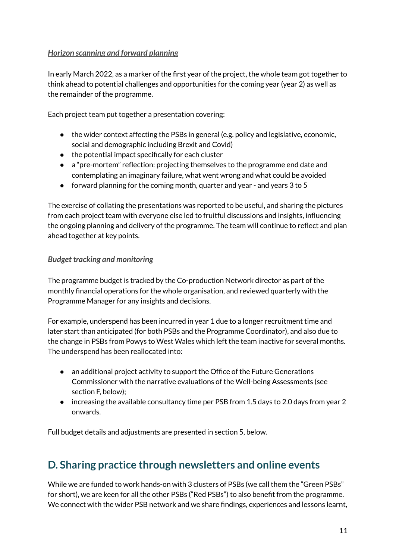#### <span id="page-11-0"></span>*Horizon scanning and forward planning*

In early March 2022, as a marker of the first year of the project, the whole team got together to think ahead to potential challenges and opportunities for the coming year (year 2) as well as the remainder of the programme.

Each project team put together a presentation covering:

- the wider context affecting the PSBs in general (e.g. policy and legislative, economic, social and demographic including Brexit and Covid)
- the potential impact specifically for each cluster
- a "pre-mortem" reflection: projecting themselves to the programme end date and contemplating an imaginary failure, what went wrong and what could be avoided
- forward planning for the coming month, quarter and year and years 3 to 5

The exercise of collating the presentations was reported to be useful, and sharing the pictures from each project team with everyone else led to fruitful discussions and insights, influencing the ongoing planning and delivery of the programme. The team will continue to reflect and plan ahead together at key points.

#### <span id="page-11-1"></span>*Budget tracking and monitoring*

The programme budget is tracked by the Co-production Network director as part of the monthly financial operations for the whole organisation, and reviewed quarterly with the Programme Manager for any insights and decisions.

For example, underspend has been incurred in year 1 due to a longer recruitment time and later start than anticipated (for both PSBs and the Programme Coordinator), and also due to the change in PSBs from Powys to West Wales which left the team inactive for several months. The underspend has been reallocated into:

- an additional project activity to support the Office of the Future Generations Commissioner with the narrative evaluations of the Well-being Assessments (see section F, below);
- increasing the available consultancy time per PSB from 1.5 days to 2.0 days from year 2 onwards.

Full budget details and adjustments are presented in section 5, below.

### <span id="page-11-2"></span>**D. Sharing practice through newsletters and online events**

While we are funded to work hands-on with 3 clusters of PSBs (we call them the "Green PSBs" for short), we are keen for all the other PSBs ("Red PSBs") to also benefit from the programme. We connect with the wider PSB network and we share findings, experiences and lessons learnt,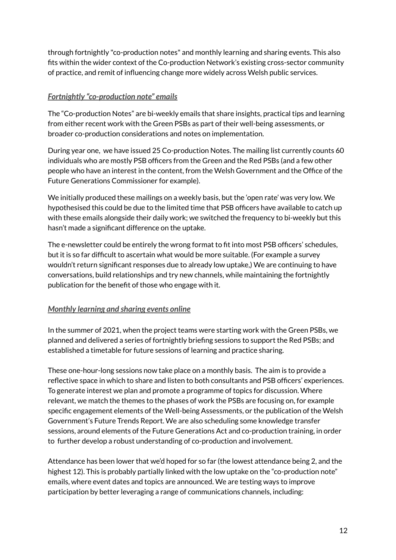through fortnightly "co-production notes" and monthly learning and sharing events. This also fits within the wider context of the Co-production Network's existing cross-sector community of practice, and remit of influencing change more widely across Welsh public services.

#### <span id="page-12-0"></span>*Fortnightly "co-production note" emails*

The "Co-production Notes" are bi-weekly emails that share insights, practical tips and learning from either recent work with the Green PSBs as part of their well-being assessments, or broader co-production considerations and notes on implementation.

During year one, we have issued 25 Co-production Notes. The mailing list currently counts 60 individuals who are mostly PSB officers from the Green and the Red PSBs (and a few other people who have an interest in the content, from the Welsh Government and the Office of the Future Generations Commissioner for example).

We initially produced these mailings on a weekly basis, but the 'open rate' was very low. We hypothesised this could be due to the limited time that PSB officers have available to catch up with these emails alongside their daily work; we switched the frequency to bi-weekly but this hasn't made a significant difference on the uptake.

The e-newsletter could be entirely the wrong format to fit into most PSB officers' schedules, but it is so far difficult to ascertain what would be more suitable. (For example a survey wouldn't return significant responses due to already low uptake,) We are continuing to have conversations, build relationships and try new channels, while maintaining the fortnightly publication for the benefit of those who engage with it.

#### <span id="page-12-1"></span>*Monthly learning and sharing events online*

In the summer of 2021, when the project teams were starting work with the Green PSBs, we planned and delivered a series of fortnightly briefing sessions to support the Red PSBs; and established a timetable for future sessions of learning and practice sharing.

These one-hour-long sessions now take place on a monthly basis. The aim is to provide a reflective space in which to share and listen to both consultants and PSB officers' experiences. To generate interest we plan and promote a programme of topics for discussion. Where relevant, we match the themes to the phases of work the PSBs are focusing on, for example specific engagement elements of the Well-being Assessments, or the publication of the Welsh Government's Future Trends Report. We are also scheduling some knowledge transfer sessions, around elements of the Future Generations Act and co-production training, in order to further develop a robust understanding of co-production and involvement.

Attendance has been lower that we'd hoped for so far (the lowest attendance being 2, and the highest 12). This is probably partially linked with the low uptake on the "co-production note" emails, where event dates and topics are announced. We are testing ways to improve participation by better leveraging a range of communications channels, including: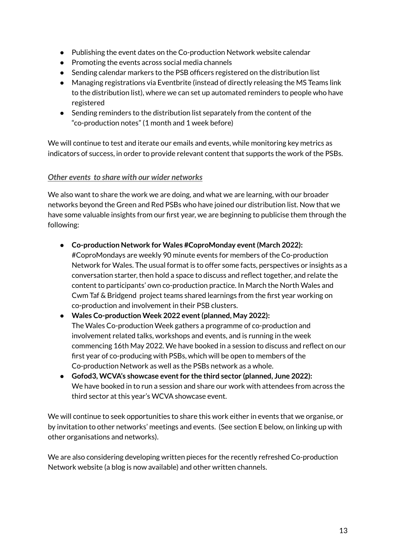- Publishing the event dates on the Co-production Network website calendar
- Promoting the events across social media channels
- Sending calendar markers to the PSB officers registered on the distribution list
- Managing registrations via Eventbrite (instead of directly releasing the MS Teams link to the distribution list), where we can set up automated reminders to people who have registered
- Sending reminders to the distribution list separately from the content of the "co-production notes" (1 month and 1 week before)

We will continue to test and iterate our emails and events, while monitoring key metrics as indicators of success, in order to provide relevant content that supports the work of the PSBs.

#### <span id="page-13-0"></span>*Other events to share with our wider networks*

We also want to share the work we are doing, and what we are learning, with our broader networks beyond the Green and Red PSBs who have joined our distribution list. Now that we have some valuable insights from our first year, we are beginning to publicise them through the following:

● **Co-production Network for Wales #CoproMonday event(March 2022):**

#CoproMondays are weekly 90 minute events for members of the Co-production Network for Wales. The usual format is to offer some facts, perspectives or insights as a conversation starter, then hold a space to discuss and reflect together, and relate the content to participants' own co-production practice. In March the North Wales and Cwm Taf & Bridgend project teams shared learnings from the first year working on co-production and involvement in their PSB clusters.

- **Wales Co-production Week 2022 event(planned, May 2022):** The Wales Co-production Week gathers a programme of co-production and involvement related talks, workshops and events, and is running in the week commencing 16th May 2022. We have booked in a session to discuss and reflect on our first year of co-producing with PSBs, which will be open to members of the Co-production Network as well as the PSBs network as a whole.
- **Gofod3, WCVA's showcase eventfor the third sector (planned, June 2022):** We have booked in to run a session and share our work with attendees from across the third sector at this year's WCVA showcase event.

We will continue to seek opportunities to share this work either in events that we organise, or by invitation to other networks' meetings and events. (See section E below, on linking up with other organisations and networks).

We are also considering developing written pieces for the recently refreshed Co-production Network website (a blog is now available) and other written channels.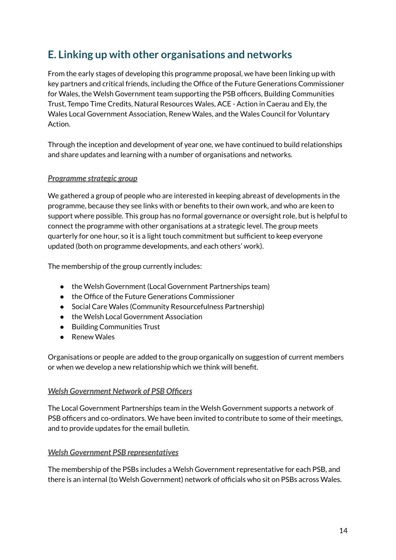### <span id="page-14-0"></span>**E. Linking up with other organisations and networks**

From the early stages of developing this programme proposal, we have been linking up with key partners and critical friends, including the Office of the Future Generations Commissioner for Wales, the Welsh Government team supporting the PSB officers, Building Communities Trust, Tempo Time Credits, Natural Resources Wales, ACE - Action in Caerau and Ely, the Wales Local Government Association, Renew Wales, and the Wales Council for Voluntary Action.

Through the inception and development of year one, we have continued to build relationships and share updates and learning with a number of organisations and networks.

#### <span id="page-14-1"></span>*Programme strategic group*

We gathered a group of people who are interested in keeping abreast of developments in the programme, because they see links with or benefits to their own work, and who are keen to support where possible. This group has no formal governance or oversight role, but is helpful to connect the programme with other organisations at a strategic level. The group meets quarterly for one hour, so it is a light touch commitment but sufficient to keep everyone updated (both on programme developments, and each others' work).

The membership of the group currently includes:

- the Welsh Government (Local Government Partnerships team)
- the Office of the Future Generations Commissioner
- Social Care Wales (Community Resourcefulness Partnership)
- the Welsh Local Government Association
- Building Communities Trust
- Renew Wales

Organisations or people are added to the group organically on suggestion of current members or when we develop a new relationship which we think will benefit.

#### <span id="page-14-2"></span>*Welsh Government Network of PSB Officers*

The Local Government Partnerships team in the Welsh Government supports a network of PSB officers and co-ordinators. We have been invited to contribute to some of their meetings, and to provide updates for the email bulletin.

#### <span id="page-14-3"></span>*Welsh Government PSB representatives*

The membership of the PSBs includes a Welsh Government representative for each PSB, and there is an internal (to Welsh Government) network of officials who sit on PSBs across Wales.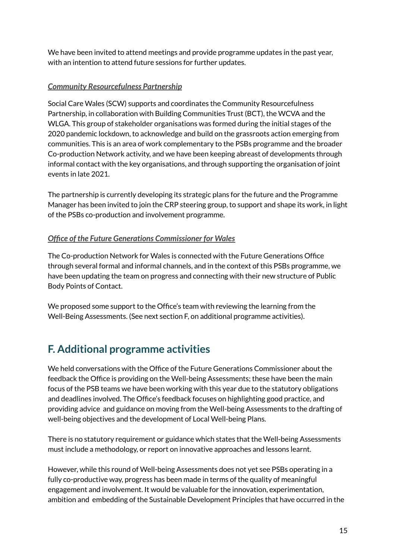We have been invited to attend meetings and provide programme updates in the past year, with an intention to attend future sessions for further updates.

#### <span id="page-15-0"></span>*Community Resourcefulness Partnership*

Social Care Wales (SCW) supports and coordinates the Community Resourcefulness Partnership, in collaboration with Building Communities Trust (BCT), the WCVA and the WLGA. This group of stakeholder organisations was formed during the initial stages of the 2020 pandemic lockdown, to acknowledge and build on the grassroots action emerging from communities. This is an area of work complementary to the PSBs programme and the broader Co-production Network activity, and we have been keeping abreast of developments through informal contact with the key organisations, and through supporting the organisation of joint events in late 2021.

The partnership is currently developing its strategic plans for the future and the Programme Manager has been invited to join the CRP steering group, to support and shape its work, in light of the PSBs co-production and involvement programme.

#### <span id="page-15-1"></span>*Office of the Future Generations Commissioner for Wales*

The Co-production Network for Wales is connected with the Future Generations Office through several formal and informal channels, and in the context of this PSBs programme, we have been updating the team on progress and connecting with their new structure of Public Body Points of Contact.

We proposed some support to the Office's team with reviewing the learning from the Well-Being Assessments. (See next section F, on additional programme activities).

### <span id="page-15-2"></span>**F. Additional programme activities**

We held conversations with the Office of the Future Generations Commissioner about the feedback the Office is providing on the Well-being Assessments; these have been the main focus of the PSB teams we have been working with this year due to the statutory obligations and deadlines involved. The Office's feedback focuses on highlighting good practice, and providing advice and guidance on moving from the Well-being Assessments to the drafting of well-being objectives and the development of Local Well-being Plans.

There is no statutory requirement or guidance which states that the Well-being Assessments must include a methodology, or report on innovative approaches and lessons learnt.

However, while this round of Well-being Assessments does not yet see PSBs operating in a fully co-productive way, progress has been made in terms of the quality of meaningful engagement and involvement. It would be valuable for the innovation, experimentation, ambition and embedding of the Sustainable Development Principles that have occurred in the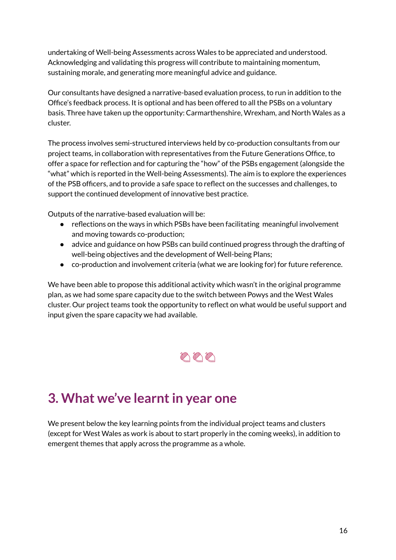undertaking of Well-being Assessments across Wales to be appreciated and understood. Acknowledging and validating this progress will contribute to maintaining momentum, sustaining morale, and generating more meaningful advice and guidance.

Our consultants have designed a narrative-based evaluation process, to run in addition to the Office's feedback process. It is optional and has been offered to all the PSBs on a voluntary basis. Three have taken up the opportunity: Carmarthenshire, Wrexham, and North Wales as a cluster.

The process involves semi-structured interviews held by co-production consultants from our project teams, in collaboration with representatives from the Future Generations Office, to offer a space for reflection and for capturing the "how" of the PSBs engagement (alongside the "what" which is reported in the Well-being Assessments). The aim is to explore the experiences of the PSB officers, and to provide a safe space to reflect on the successes and challenges, to support the continued development of innovative best practice.

Outputs of the narrative-based evaluation will be:

- reflections on the ways in which PSBs have been facilitating meaningful involvement and moving towards co-production;
- advice and guidance on how PSBs can build continued progress through the drafting of well-being objectives and the development of Well-being Plans;
- co-production and involvement criteria (what we are looking for) for future reference.

We have been able to propose this additional activity which wasn't in the original programme plan, as we had some spare capacity due to the switch between Powys and the West Wales cluster. Our project teams took the opportunity to reflect on what would be useful support and input given the spare capacity we had available.



# <span id="page-16-0"></span>**3. What we've learntin year one**

We present below the key learning points from the individual project teams and clusters (except for West Wales as work is about to start properly in the coming weeks), in addition to emergent themes that apply across the programme as a whole.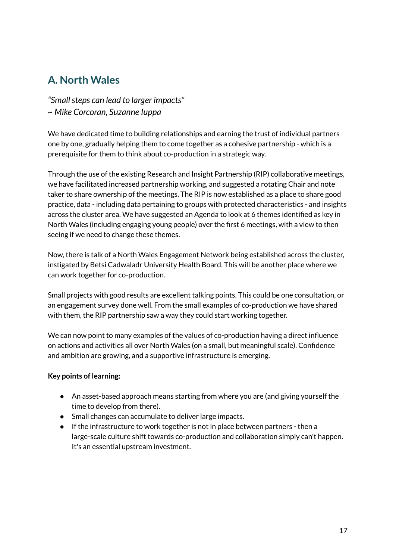## <span id="page-17-0"></span>**A. North Wales**

*"Smallsteps can lead to larger impacts" ~ Mike Corcoran, Suzanne Iuppa*

We have dedicated time to building relationships and earning the trust of individual partners one by one, gradually helping them to come together as a cohesive partnership - which is a prerequisite for them to think about co-production in a strategic way.

Through the use of the existing Research and Insight Partnership (RIP) collaborative meetings, we have facilitated increased partnership working, and suggested a rotating Chair and note taker to share ownership of the meetings. The RIP is now established as a place to share good practice, data - including data pertaining to groups with protected characteristics - and insights across the cluster area. We have suggested an Agenda to look at 6 themes identified as key in North Wales (including engaging young people) over the first 6 meetings, with a view to then seeing if we need to change these themes.

Now, there is talk of a North Wales Engagement Network being established across the cluster, instigated by Betsi Cadwaladr University Health Board. This will be another place where we can work together for co-production.

Small projects with good results are excellent talking points. This could be one consultation, or an engagement survey done well. From the small examples of co-production we have shared with them, the RIP partnership saw a way they could start working together.

We can now point to many examples of the values of co-production having a direct influence on actions and activities all over North Wales (on a small, but meaningful scale). Confidence and ambition are growing, and a supportive infrastructure is emerging.

#### **Key points of learning:**

- An asset-based approach means starting from where you are (and giving yourself the time to develop from there).
- Small changes can accumulate to deliver large impacts.
- If the infrastructure to work together is not in place between partners then a large-scale culture shift towards co-production and collaboration simply can't happen. It's an essential upstream investment.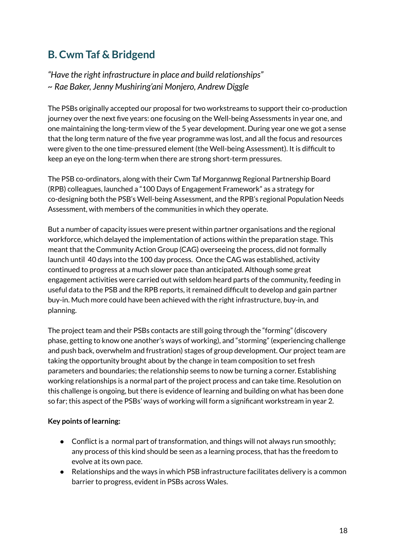## <span id="page-18-0"></span>**B. Cwm Taf & Bridgend**

*"Have the right infrastructure in place and build relationships" ~ Rae Baker, Jenny Mushiring'ani Monjero, Andrew Diggle*

The PSBs originally accepted our proposal for two workstreams to support their co-production journey over the next five years: one focusing on the Well-being Assessments in year one, and one maintaining the long-term view of the 5 year development. During year one we got a sense that the long term nature of the five year programme was lost, and all the focus and resources were given to the one time-pressured element (the Well-being Assessment). It is difficult to keep an eye on the long-term when there are strong short-term pressures.

The PSB co-ordinators, along with their Cwm Taf Morgannwg Regional Partnership Board (RPB) colleagues, launched a "100 Days of Engagement Framework" as a strategy for co-designing both the PSB's Well-being Assessment, and the RPB's regional Population Needs Assessment, with members of the communities in which they operate.

But a number of capacity issues were present within partner organisations and the regional workforce, which delayed the implementation of actions within the preparation stage. This meant that the Community Action Group (CAG) overseeing the process, did not formally launch until 40 days into the 100 day process. Once the CAG was established, activity continued to progress at a much slower pace than anticipated. Although some great engagement activities were carried out with seldom heard parts of the community, feeding in useful data to the PSB and the RPB reports, it remained difficult to develop and gain partner buy-in. Much more could have been achieved with the right infrastructure, buy-in, and planning.

The project team and their PSBs contacts are still going through the "forming" (discovery phase, getting to know one another's ways of working), and "storming" (experiencing challenge and push back, overwhelm and frustration) stages of group development. Our project team are taking the opportunity brought about by the change in team composition to set fresh parameters and boundaries; the relationship seems to now be turning a corner. Establishing working relationships is a normal part of the project process and can take time. Resolution on this challenge is ongoing, but there is evidence of learning and building on what has been done so far; this aspect of the PSBs' ways of working will form a significant workstream in year 2.

#### **Key points of learning:**

- $\bullet$  Conflict is a normal part of transformation, and things will not always run smoothly; any process of this kind should be seen as a learning process, that has the freedom to evolve at its own pace.
- Relationships and the ways in which PSB infrastructure facilitates delivery is a common barrier to progress, evident in PSBs across Wales.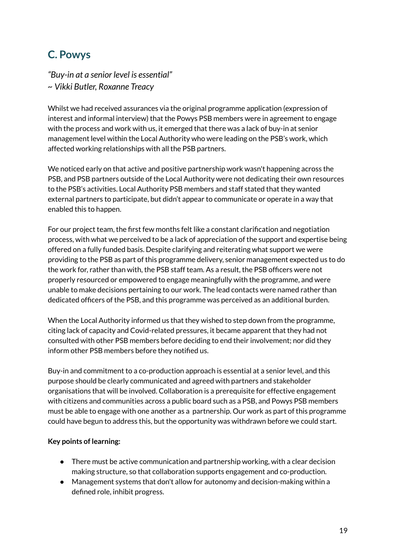## <span id="page-19-0"></span>**C. Powys**

*"Buy-in at a senior level is essential" ~ Vikki Butler, Roxanne Treacy*

Whilst we had received assurances via the original programme application (expression of interest and informal interview) that the Powys PSB members were in agreement to engage with the process and work with us, it emerged that there was a lack of buy-in at senior management level within the Local Authority who were leading on the PSB's work, which affected working relationships with all the PSB partners.

We noticed early on that active and positive partnership work wasn't happening across the PSB, and PSB partners outside of the Local Authority were not dedicating their own resources to the PSB's activities. Local Authority PSB members and staff stated that they wanted external partners to participate, but didn't appear to communicate or operate in a way that enabled this to happen.

For our project team, the first few months felt like a constant clarification and negotiation process, with what we perceived to be a lack of appreciation of the support and expertise being offered on a fully funded basis. Despite clarifying and reiterating what support we were providing to the PSB as part of this programme delivery, senior management expected us to do the work for, rather than with, the PSB staff team. As a result, the PSB officers were not properly resourced or empowered to engage meaningfully with the programme, and were unable to make decisions pertaining to our work. The lead contacts were named rather than dedicated officers of the PSB, and this programme was perceived as an additional burden.

When the Local Authority informed us that they wished to step down from the programme, citing lack of capacity and Covid-related pressures, it became apparent that they had not consulted with other PSB members before deciding to end their involvement; nor did they inform other PSB members before they notified us.

Buy-in and commitment to a co-production approach is essential at a senior level, and this purpose should be clearly communicated and agreed with partners and stakeholder organisations that will be involved. Collaboration is a prerequisite for effective engagement with citizens and communities across a public board such as a PSB, and Powys PSB members must be able to engage with one another as a partnership. Our work as part of this programme could have begun to address this, but the opportunity was withdrawn before we could start.

#### **Key points of learning:**

- There must be active communication and partnership working, with a clear decision making structure, so that collaboration supports engagement and co-production.
- Management systems that don't allow for autonomy and decision-making within a defined role, inhibit progress.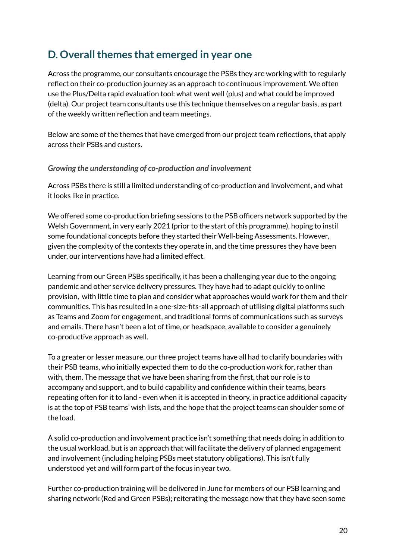### <span id="page-20-0"></span>**D.** Overall themes that emerged in year one

Across the programme, our consultants encourage the PSBs they are working with to regularly reflect on their co-production journey as an approach to continuous improvement. We often use the Plus/Delta rapid evaluation tool: what went well (plus) and what could be improved (delta). Our project team consultants use this technique themselves on a regular basis, as part of the weekly written reflection and team meetings.

Below are some of the themes that have emerged from our project team reflections, that apply across their PSBs and custers.

#### <span id="page-20-1"></span>*Growing the understanding of co-production and involvement*

Across PSBs there is still a limited understanding of co-production and involvement, and what it looks like in practice.

We offered some co-production briefing sessions to the PSB officers network supported by the Welsh Government, in very early 2021 (prior to the start of this programme), hoping to instil some foundational concepts before they started their Well-being Assessments. However, given the complexity of the contexts they operate in, and the time pressures they have been under, our interventions have had a limited effect.

Learning from our Green PSBs specifically, it has been a challenging year due to the ongoing pandemic and other service delivery pressures. They have had to adapt quickly to online provision, with little time to plan and consider what approaches would work for them and their communities. This has resulted in a one-size-fits-all approach of utilising digital platforms such as Teams and Zoom for engagement, and traditional forms of communications such as surveys and emails. There hasn't been a lot of time, or headspace, available to consider a genuinely co-productive approach as well.

To a greater or lesser measure, our three project teams have all had to clarify boundaries with their PSB teams, who initially expected them to do the co-production work for, rather than with, them. The message that we have been sharing from the first, that our role is to accompany and support, and to build capability and confidence within their teams, bears repeating often for it to land - even when it is accepted in theory, in practice additional capacity is at the top of PSB teams' wish lists, and the hope that the project teams can shoulder some of the load.

A solid co-production and involvement practice isn't something that needs doing in addition to the usual workload, but is an approach that will facilitate the delivery of planned engagement and involvement (including helping PSBs meet statutory obligations). This isn't fully understood yet and will form part of the focus in year two.

Further co-production training will be delivered in June for members of our PSB learning and sharing network (Red and Green PSBs); reiterating the message now that they have seen some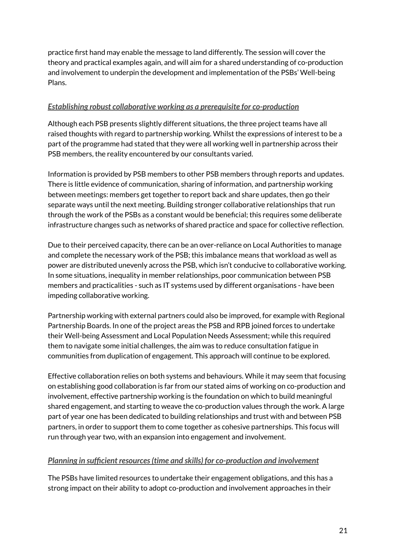practice first hand may enable the message to land differently. The session will cover the theory and practical examples again, and will aim for a shared understanding of co-production and involvement to underpin the development and implementation of the PSBs' Well-being Plans.

#### <span id="page-21-0"></span>*Establishing robust collaborative working as a prerequisite for co-production*

Although each PSB presents slightly different situations, the three project teams have all raised thoughts with regard to partnership working. Whilst the expressions of interest to be a part of the programme had stated that they were all working well in partnership across their PSB members, the reality encountered by our consultants varied.

Information is provided by PSB members to other PSB members through reports and updates. There is little evidence of communication, sharing of information, and partnership working between meetings: members get together to report back and share updates, then go their separate ways until the next meeting. Building stronger collaborative relationships that run through the work of the PSBs as a constant would be beneficial; this requires some deliberate infrastructure changes such as networks of shared practice and space for collective reflection.

Due to their perceived capacity, there can be an over-reliance on Local Authorities to manage and complete the necessary work of the PSB; this imbalance means that workload as well as power are distributed unevenly across the PSB, which isn't conducive to collaborative working. In some situations, inequality in member relationships, poor communication between PSB members and practicalities - such as IT systems used by different organisations - have been impeding collaborative working.

Partnership working with external partners could also be improved, for example with Regional Partnership Boards. In one of the project areas the PSB and RPB joined forces to undertake their Well-being Assessment and Local Population Needs Assessment; while this required them to navigate some initial challenges, the aim was to reduce consultation fatigue in communities from duplication of engagement. This approach will continue to be explored.

Effective collaboration relies on both systems and behaviours. While it may seem that focusing on establishing good collaboration is far from our stated aims of working on co-production and involvement, effective partnership working is the foundation on which to build meaningful shared engagement, and starting to weave the co-production values through the work. A large part of year one has been dedicated to building relationships and trust with and between PSB partners, in order to support them to come together as cohesive partnerships. This focus will run through year two, with an expansion into engagement and involvement.

#### <span id="page-21-1"></span>*Planning in sufficient resources(time and skills) for co-production and involvement*

The PSBs have limited resources to undertake their engagement obligations, and this has a strong impact on their ability to adopt co-production and involvement approaches in their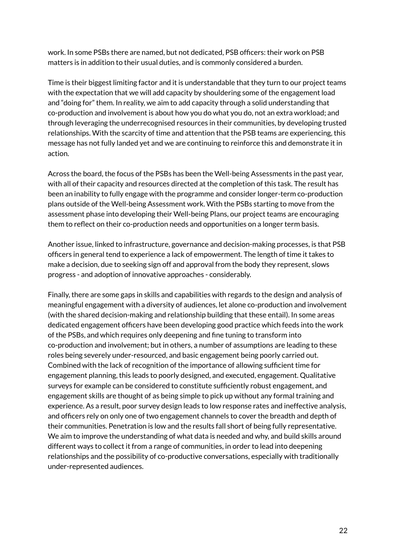work. In some PSBs there are named, but not dedicated, PSB officers: their work on PSB matters is in addition to their usual duties, and is commonly considered a burden.

Time is their biggest limiting factor and it is understandable that they turn to our project teams with the expectation that we will add capacity by shouldering some of the engagement load and "doing for" them. In reality, we aim to add capacity through a solid understanding that co-production and involvement is about how you do what you do, not an extra workload; and through leveraging the underrecognised resources in their communities, by developing trusted relationships. With the scarcity of time and attention that the PSB teams are experiencing, this message has not fully landed yet and we are continuing to reinforce this and demonstrate it in action.

Across the board, the focus of the PSBs has been the Well-being Assessments in the past year, with all of their capacity and resources directed at the completion of this task. The result has been an inability to fully engage with the programme and consider longer-term co-production plans outside of the Well-being Assessment work. With the PSBs starting to move from the assessment phase into developing their Well-being Plans, our project teams are encouraging them to reflect on their co-production needs and opportunities on a longer term basis.

Another issue, linked to infrastructure, governance and decision-making processes, is that PSB officers in general tend to experience a lack of empowerment. The length of time it takes to make a decision, due to seeking sign off and approval from the body they represent, slows progress - and adoption of innovative approaches - considerably.

Finally, there are some gaps in skills and capabilities with regards to the design and analysis of meaningful engagement with a diversity of audiences, let alone co-production and involvement (with the shared decision-making and relationship building that these entail). In some areas dedicated engagement officers have been developing good practice which feeds into the work of the PSBs, and which requires only deepening and fine tuning to transform into co-production and involvement; but in others, a number of assumptions are leading to these roles being severely under-resourced, and basic engagement being poorly carried out. Combined with the lack of recognition of the importance of allowing sufficient time for engagement planning, this leads to poorly designed, and executed, engagement. Qualitative surveys for example can be considered to constitute sufficiently robust engagement, and engagement skills are thought of as being simple to pick up without any formal training and experience. As a result, poor survey design leads to low response rates and ineffective analysis, and officers rely on only one of two engagement channels to cover the breadth and depth of their communities. Penetration is low and the results fall short of being fully representative. We aim to improve the understanding of what data is needed and why, and build skills around different ways to collect it from a range of communities, in order to lead into deepening relationships and the possibility of co-productive conversations, especially with traditionally under-represented audiences.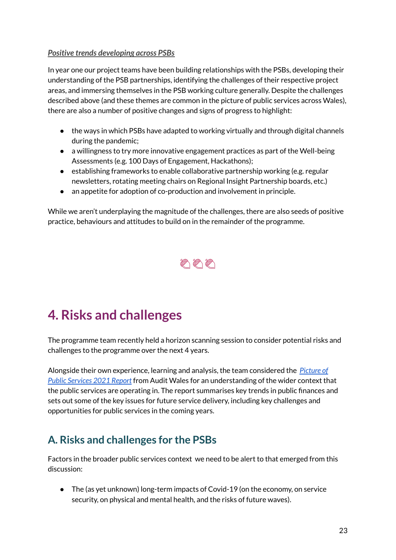#### <span id="page-23-0"></span>*Positive trends developing across PSBs*

In year one our project teams have been building relationships with the PSBs, developing their understanding of the PSB partnerships, identifying the challenges of their respective project areas, and immersing themselves in the PSB working culture generally. Despite the challenges described above (and these themes are common in the picture of public services across Wales), there are also a number of positive changes and signs of progress to highlight:

- the ways in which PSBs have adapted to working virtually and through digital channels during the pandemic;
- a willingness to try more innovative engagement practices as part of the Well-being Assessments (e.g. 100 Days of Engagement, Hackathons);
- establishing frameworks to enable collaborative partnership working (e.g. regular newsletters, rotating meeting chairs on Regional Insight Partnership boards, etc.)
- an appetite for adoption of co-production and involvement in principle.

While we aren't underplaying the magnitude of the challenges, there are also seeds of positive practice, behaviours and attitudes to build on in the remainder of the programme.



# <span id="page-23-1"></span>**4. Risks and challenges**

The programme team recently held a horizon scanning session to consider potential risks and challenges to the programme over the next 4 years.

Alongside their own experience, learning and analysis, the team considered the *[Picture](https://www.audit.wales/sites/default/files/publications/POPS-2021-Eng.pdfhttps://www.audit.wales/sites/default/files/publications/POPS-2021-Eng.pdf) of Public [Services](https://www.audit.wales/sites/default/files/publications/POPS-2021-Eng.pdfhttps://www.audit.wales/sites/default/files/publications/POPS-2021-Eng.pdf) 2021 Report* from Audit Wales for an understanding of the wider context that the public services are operating in. The report summarises key trends in public finances and sets out some of the key issues for future service delivery, including key challenges and opportunities for public services in the coming years.

## <span id="page-23-2"></span>**A. Risks and challenges for the PSBs**

Factors in the broader public services context we need to be alert to that emerged from this discussion:

● The (as yet unknown) long-term impacts of Covid-19 (on the economy, on service security, on physical and mental health, and the risks of future waves).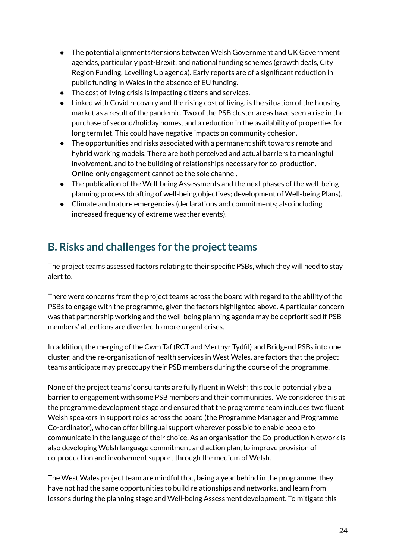- The potential alignments/tensions between Welsh Government and UK Government agendas, particularly post-Brexit, and national funding schemes (growth deals, City Region Funding, Levelling Up agenda). Early reports are of a significant reduction in public funding in Wales in the absence of EU funding.
- The cost of living crisis is impacting citizens and services.
- Linked with Covid recovery and the rising cost of living, is the situation of the housing market as a result of the pandemic. Two of the PSB cluster areas have seen a rise in the purchase of second/holiday homes, and a reduction in the availability of properties for long term let. This could have negative impacts on community cohesion.
- The opportunities and risks associated with a permanent shift towards remote and hybrid working models. There are both perceived and actual barriers to meaningful involvement, and to the building of relationships necessary for co-production. Online-only engagement cannot be the sole channel.
- The publication of the Well-being Assessments and the next phases of the well-being planning process (drafting of well-being objectives; development of Well-being Plans).
- Climate and nature emergencies (declarations and commitments; also including increased frequency of extreme weather events).

### <span id="page-24-0"></span>**B.** Risks and challenges for the project teams

The project teams assessed factors relating to their specific PSBs, which they will need to stay alert to.

There were concerns from the project teams across the board with regard to the ability of the PSBs to engage with the programme, given the factors highlighted above. A particular concern was that partnership working and the well-being planning agenda may be deprioritised if PSB members' attentions are diverted to more urgent crises.

In addition, the merging of the Cwm Taf (RCT and Merthyr Tydfil) and Bridgend PSBs into one cluster, and the re-organisation of health services in West Wales, are factors that the project teams anticipate may preoccupy their PSB members during the course of the programme.

None of the project teams' consultants are fully fluent in Welsh; this could potentially be a barrier to engagement with some PSB members and their communities. We considered this at the programme development stage and ensured that the programme team includes two fluent Welsh speakers in support roles across the board (the Programme Manager and Programme Co-ordinator), who can offer bilingual support wherever possible to enable people to communicate in the language of their choice. As an organisation the Co-production Network is also developing Welsh language commitment and action plan, to improve provision of co-production and involvement support through the medium of Welsh.

The West Wales project team are mindful that, being a year behind in the programme, they have not had the same opportunities to build relationships and networks, and learn from lessons during the planning stage and Well-being Assessment development. To mitigate this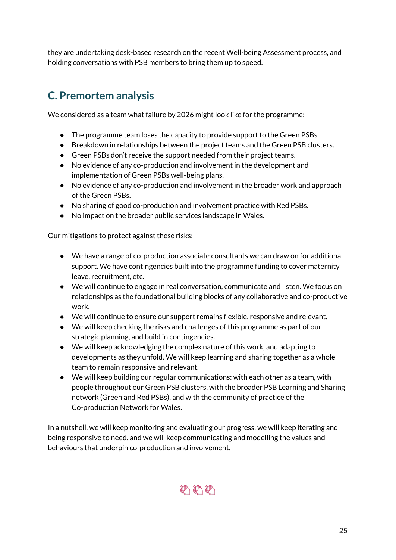they are undertaking desk-based research on the recent Well-being Assessment process, and holding conversations with PSB members to bring them up to speed.

## <span id="page-25-0"></span>**C. Premortem analysis**

We considered as a team what failure by 2026 might look like for the programme:

- The programme team loses the capacity to provide support to the Green PSBs.
- Breakdown in relationships between the project teams and the Green PSB clusters.
- Green PSBs don't receive the support needed from their project teams.
- No evidence of any co-production and involvement in the development and implementation of Green PSBs well-being plans.
- No evidence of any co-production and involvement in the broader work and approach of the Green PSBs.
- No sharing of good co-production and involvement practice with Red PSBs.
- No impact on the broader public services landscape in Wales.

Our mitigations to protect against these risks:

- We have a range of co-production associate consultants we can draw on for additional support. We have contingencies built into the programme funding to cover maternity leave, recruitment, etc.
- We will continue to engage in real conversation, communicate and listen. We focus on relationships as the foundational building blocks of any collaborative and co-productive work.
- We will continue to ensure our support remains flexible, responsive and relevant.
- We will keep checking the risks and challenges of this programme as part of our strategic planning, and build in contingencies.
- We will keep acknowledging the complex nature of this work, and adapting to developments as they unfold. We will keep learning and sharing together as a whole team to remain responsive and relevant.
- We will keep building our regular communications: with each other as a team, with people throughout our Green PSB clusters, with the broader PSB Learning and Sharing network (Green and Red PSBs), and with the community of practice of the Co-production Network for Wales.

In a nutshell, we will keep monitoring and evaluating our progress, we will keep iterating and being responsive to need, and we will keep communicating and modelling the values and behaviours that underpin co-production and involvement.

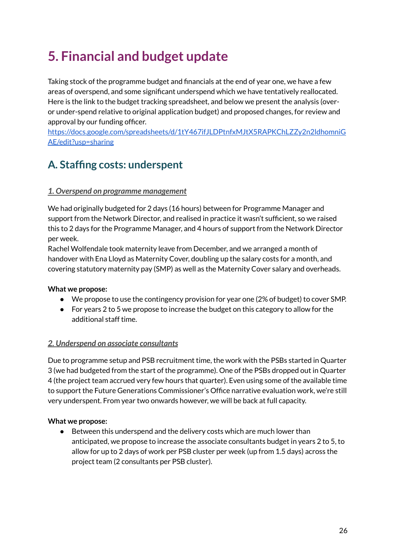# <span id="page-26-0"></span>**5. Financial and budget update**

Taking stock of the programme budget and financials at the end of year one, we have a few areas of overspend, and some significant underspend which we have tentatively reallocated. Here is the link to the budget tracking spreadsheet, and below we present the analysis (overor under-spend relative to original application budget) and proposed changes, for review and approval by our funding officer.

[https://docs.google.com/spreadsheets/d/1tY467ifJLDPtnfxMJtX5RAPKChLZZy2n2ldhomniG](https://docs.google.com/spreadsheets/d/1tY467ifJLDPtnfxMJtX5RAPKChLZZy2n2ldhomniGAE/edit?usp=sharing) [AE/edit?usp=sharing](https://docs.google.com/spreadsheets/d/1tY467ifJLDPtnfxMJtX5RAPKChLZZy2n2ldhomniGAE/edit?usp=sharing)

### <span id="page-26-1"></span>**A. Staffing costs: underspent**

#### <span id="page-26-2"></span>*1. Overspend on programme management*

We had originally budgeted for 2 days (16 hours) between for Programme Manager and support from the Network Director, and realised in practice it wasn't sufficient, so we raised this to 2 days for the Programme Manager, and 4 hours of support from the Network Director per week.

Rachel Wolfendale took maternity leave from December, and we arranged a month of handover with Ena Lloyd as Maternity Cover, doubling up the salary costs for a month, and covering statutory maternity pay (SMP) as well as the Maternity Cover salary and overheads.

#### **What we propose:**

- We propose to use the contingency provision for year one (2% of budget) to cover SMP.
- For years 2 to 5 we propose to increase the budget on this category to allow for the additional staff time.

#### <span id="page-26-3"></span>*2. Underspend on associate consultants*

Due to programme setup and PSB recruitment time, the work with the PSBs started in Quarter 3 (we had budgeted from the start of the programme). One of the PSBs dropped out in Quarter 4 (the project team accrued very few hours that quarter). Even using some of the available time to support the Future Generations Commissioner's Office narrative evaluation work, we're still very underspent. From year two onwards however, we will be back at full capacity.

#### **What we propose:**

● Between this underspend and the delivery costs which are much lower than anticipated, we propose to increase the associate consultants budget in years 2 to 5, to allow for up to 2 days of work per PSB cluster per week (up from 1.5 days) across the project team (2 consultants per PSB cluster).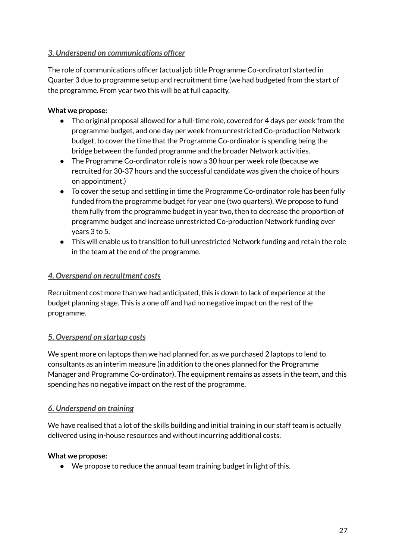#### <span id="page-27-0"></span>*3. Underspend on communications officer*

The role of communications officer (actual job title Programme Co-ordinator) started in Quarter 3 due to programme setup and recruitment time (we had budgeted from the start of the programme. From year two this will be at full capacity.

#### **What we propose:**

- The original proposal allowed for a full-time role, covered for 4 days per week from the programme budget, and one day per week from unrestricted Co-production Network budget, to cover the time that the Programme Co-ordinator is spending being the bridge between the funded programme and the broader Network activities.
- The Programme Co-ordinator role is now a 30 hour per week role (because we recruited for 30-37 hours and the successful candidate was given the choice of hours on appointment.)
- To cover the setup and settling in time the Programme Co-ordinator role has been fully funded from the programme budget for year one (two quarters). We propose to fund them fully from the programme budget in year two, then to decrease the proportion of programme budget and increase unrestricted Co-production Network funding over years 3 to 5.
- This will enable us to transition to full unrestricted Network funding and retain the role in the team at the end of the programme.

#### <span id="page-27-1"></span>*4. Overspend on recruitment costs*

Recruitment cost more than we had anticipated, this is down to lack of experience at the budget planning stage. This is a one off and had no negative impact on the rest of the programme.

#### <span id="page-27-2"></span>*5. Overspend on startup costs*

We spent more on laptops than we had planned for, as we purchased 2 laptops to lend to consultants as an interim measure (in addition to the ones planned for the Programme Manager and Programme Co-ordinator). The equipment remains as assets in the team, and this spending has no negative impact on the rest of the programme.

#### <span id="page-27-3"></span>*6. Underspend on training*

We have realised that a lot of the skills building and initial training in our staff team is actually delivered using in-house resources and without incurring additional costs.

#### **What we propose:**

● We propose to reduce the annual team training budget in light of this.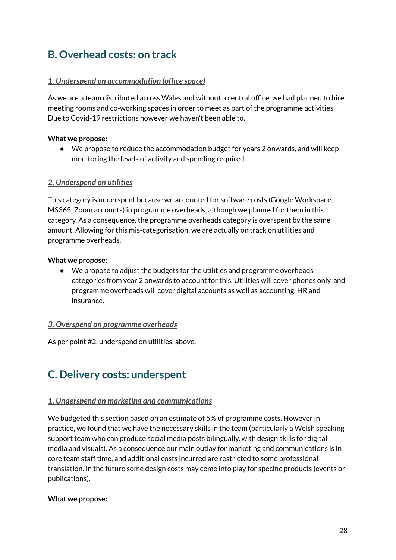### <span id="page-28-0"></span>**B. Overhead costs: on track**

#### <span id="page-28-1"></span>*1. Underspend on accommodation (office space)*

As we are a team distributed across Wales and without a central office, we had planned to hire meeting rooms and co-working spaces in order to meet as part of the programme activities. Due to Covid-19 restrictions however we haven't been able to.

#### **What we propose:**

● We propose to reduce the accommodation budget for years 2 onwards, and will keep monitoring the levels of activity and spending required.

#### <span id="page-28-2"></span>*2. Underspend on utilities*

This category is underspent because we accounted for software costs (Google Workspace, MS365, Zoom accounts) in programme overheads, although we planned for them in this category. As a consequence, the programme overheads category is overspent by the same amount. Allowing for this mis-categorisation, we are actually on track on utilities and programme overheads.

#### **What we propose:**

● We propose to adjust the budgets for the utilities and programme overheads categories from year 2 onwards to account for this. Utilities will cover phones only, and programme overheads will cover digital accounts as well as accounting, HR and insurance.

#### <span id="page-28-3"></span>*3. Overspend on programme overheads*

As per point #2, underspend on utilities, above.

### <span id="page-28-4"></span>**C. Delivery costs: underspent**

#### <span id="page-28-5"></span>*1. Underspend on marketing and communications*

We budgeted this section based on an estimate of 5% of programme costs. However in practice, we found that we have the necessary skills in the team (particularly a Welsh speaking support team who can produce social media posts bilingually, with design skills for digital media and visuals). As a consequence our main outlay for marketing and communications is in core team staff time, and additional costs incurred are restricted to some professional translation. In the future some design costs may come into play for specific products (events or publications).

#### **What we propose:**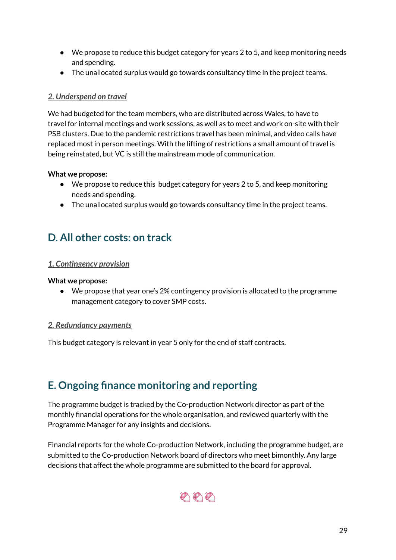- We propose to reduce this budget category for years 2 to 5, and keep monitoring needs and spending.
- The unallocated surplus would go towards consultancy time in the project teams.

#### <span id="page-29-0"></span>*2. Underspend on travel*

We had budgeted for the team members, who are distributed across Wales, to have to travel for internal meetings and work sessions, as well as to meet and work on-site with their PSB clusters. Due to the pandemic restrictions travel has been minimal, and video calls have replaced most in person meetings. With the lifting of restrictions a small amount of travel is being reinstated, but VC is still the mainstream mode of communication.

#### **What we propose:**

- We propose to reduce this budget category for years 2 to 5, and keep monitoring needs and spending.
- The unallocated surplus would go towards consultancy time in the project teams.

### <span id="page-29-1"></span>**D. All other costs: on track**

#### <span id="page-29-2"></span>*1. Contingency provision*

#### **What we propose:**

● We propose that year one's 2% contingency provision is allocated to the programme management category to cover SMP costs.

#### <span id="page-29-3"></span>*2. Redundancy payments*

This budget category is relevant in year 5 only for the end of staff contracts.

### <span id="page-29-4"></span>**E. Ongoing finance monitoring and reporting**

The programme budget is tracked by the Co-production Network director as part of the monthly financial operations for the whole organisation, and reviewed quarterly with the Programme Manager for any insights and decisions.

Financial reports for the whole Co-production Network, including the programme budget, are submitted to the Co-production Network board of directors who meet bimonthly. Any large decisions that affect the whole programme are submitted to the board for approval.